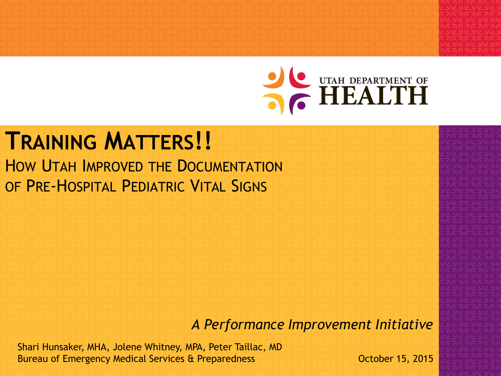

#### **TRAINING MATTERS!!** HOW UTAH IMPROVED THE DOCUMENTATION OF PRE-HOSPITAL PEDIATRIC VITAL SIGNS

*A Performance Improvement Initiative*

Shari Hunsaker, MHA, Jolene Whitney, MPA, Peter Taillac, MD Bureau of Emergency Medical Services & Preparedness **Canadian Medical Services** & Preparedness **Canadian Medical Services** & Preparedness **Canadian Medical Services** & Preparedness **Canadian Medical Services** & Canadian Me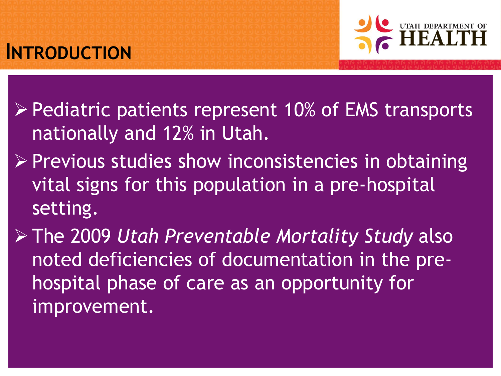# **INTRODUCTION**



- $\triangleright$  Pediatric patients represent 10% of EMS transports nationally and 12% in Utah.
- $\triangleright$  Previous studies show inconsistencies in obtaining vital signs for this population in a pre-hospital setting.
- The 2009 *Utah Preventable Mortality Study* also noted deficiencies of documentation in the prehospital phase of care as an opportunity for improvement.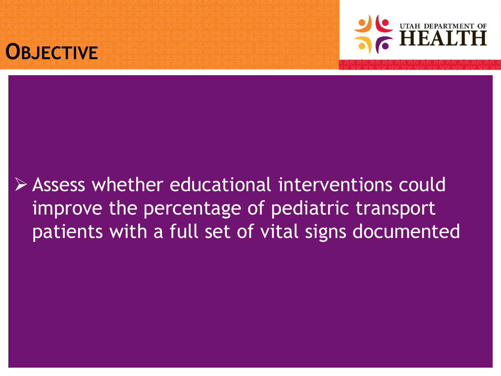



#### Assess whether educational interventions could improve the percentage of pediatric transport patients with a full set of vital signs documented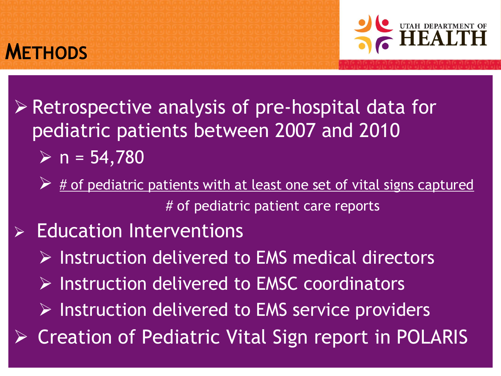



- Retrospective analysis of pre-hospital data for pediatric patients between 2007 and 2010  $\triangleright$  n = 54,780
	- # of pediatric patients with at least one set of vital signs captured # of pediatric patient care reports
- Education Interventions
	- $\triangleright$  Instruction delivered to EMS medical directors
	- $\triangleright$  Instruction delivered to EMSC coordinators
	- $\triangleright$  Instruction delivered to EMS service providers
- $\triangleright$  Creation of Pediatric Vital Sign report in POLARIS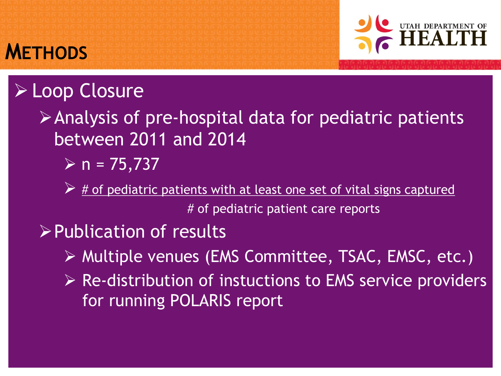

## Loop Closure

**METHODS**

- Analysis of pre-hospital data for pediatric patients between 2011 and 2014
	- $\triangleright$  n = 75,737
	- $\triangleright$  # of pediatric patients with at least one set of vital signs captured # of pediatric patient care reports
- Publication of results
	- Multiple venues (EMS Committee, TSAC, EMSC, etc.)
	- $\triangleright$  Re-distribution of instuctions to EMS service providers for running POLARIS report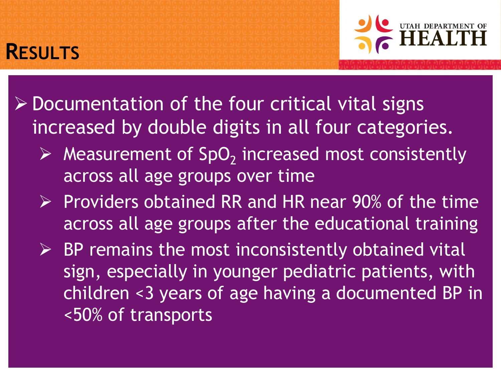

#### $\triangleright$  Documentation of the four critical vital signs increased by double digits in all four categories.

**RESULTS**

- $\triangleright$  Measurement of SpO<sub>2</sub> increased most consistently across all age groups over time
- $\triangleright$  Providers obtained RR and HR near 90% of the time across all age groups after the educational training
- $\triangleright$  BP remains the most inconsistently obtained vital sign, especially in younger pediatric patients, with children <3 years of age having a documented BP in <50% of transports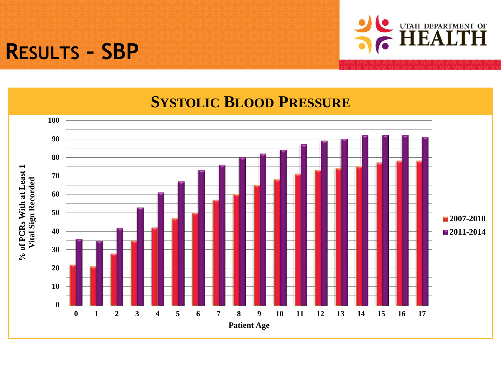### **RESULTS – SBP**



#### **SYSTOLIC BLOOD PRESSURE**

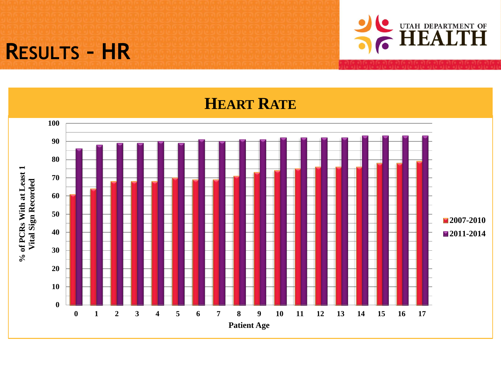## **RESULTS – HR**



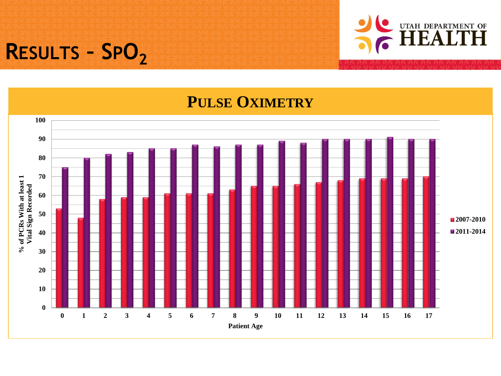# **RESULTS – SPO<sup>2</sup>**



#### **PULSE OXIMETRY**

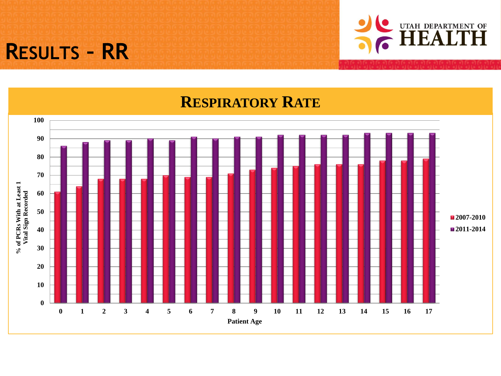### **RESULTS – RR**



#### **RESPIRATORY RATE**

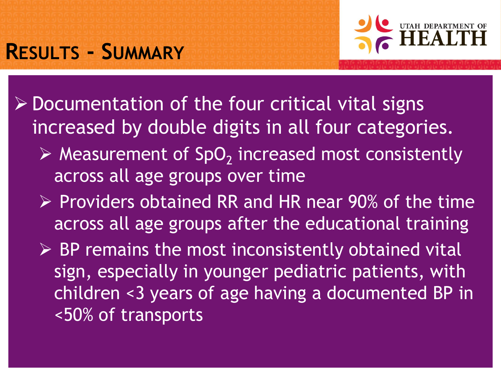## **RESULTS - SUMMARY**



 $\triangleright$  Documentation of the four critical vital signs increased by double digits in all four categories.

- $\triangleright$  Measurement of SpO<sub>2</sub> increased most consistently across all age groups over time
- $\triangleright$  Providers obtained RR and HR near 90% of the time across all age groups after the educational training
- $\triangleright$  BP remains the most inconsistently obtained vital sign, especially in younger pediatric patients, with children <3 years of age having a documented BP in <50% of transports